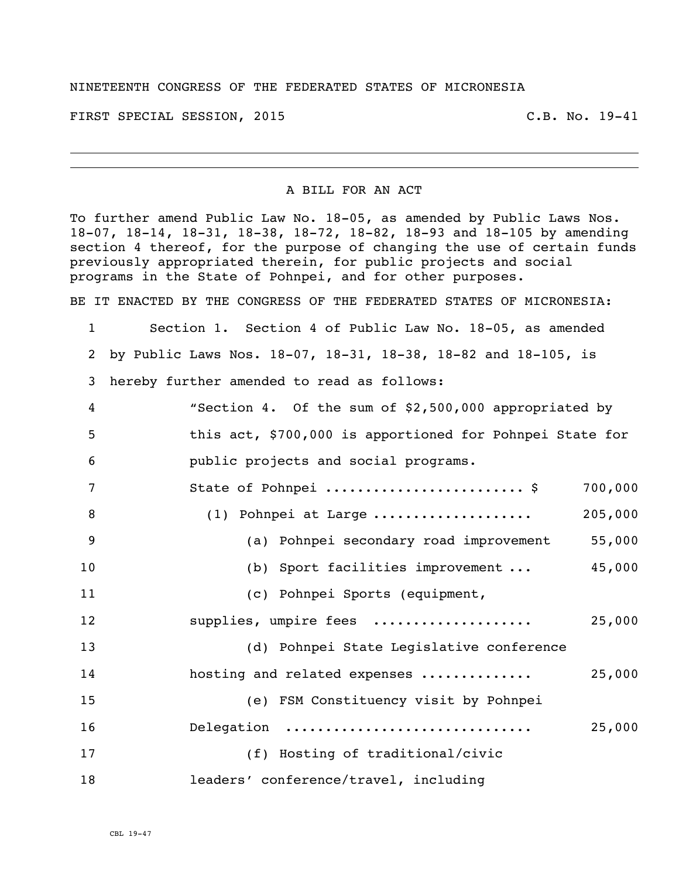## NINETEENTH CONGRESS OF THE FEDERATED STATES OF MICRONESIA

FIRST SPECIAL SESSION, 2015 C.B. No. 19-41

## A BILL FOR AN ACT

To further amend Public Law No. 18-05, as amended by Public Laws Nos. 18-07, 18-14, 18-31, 18-38, 18-72, 18-82, 18-93 and 18-105 by amending section 4 thereof, for the purpose of changing the use of certain funds previously appropriated therein, for public projects and social programs in the State of Pohnpei, and for other purposes.

BE IT ENACTED BY THE CONGRESS OF THE FEDERATED STATES OF MICRONESIA:

 Section 1. Section 4 of Public Law No. 18-05, as amended by Public Laws Nos. 18-07, 18-31, 18-38, 18-82 and 18-105, is hereby further amended to read as follows: "Section 4. Of the sum of \$2,500,000 appropriated by this act, \$700,000 is apportioned for Pohnpei State for public projects and social programs. 7 State of Pohnpei ..............................\$ 700,000 (1) Pohnpei at Large .................... 205,000 (a) Pohnpei secondary road improvement 55,000 (b) Sport facilities improvement ... 45,000 (c) Pohnpei Sports (equipment, supplies, umpire fees .................... 25,000 (d) Pohnpei State Legislative conference hosting and related expenses .............. 25,000 (e) FSM Constituency visit by Pohnpei Delegation ............................... 25,000 (f) Hosting of traditional/civic leaders' conference/travel, including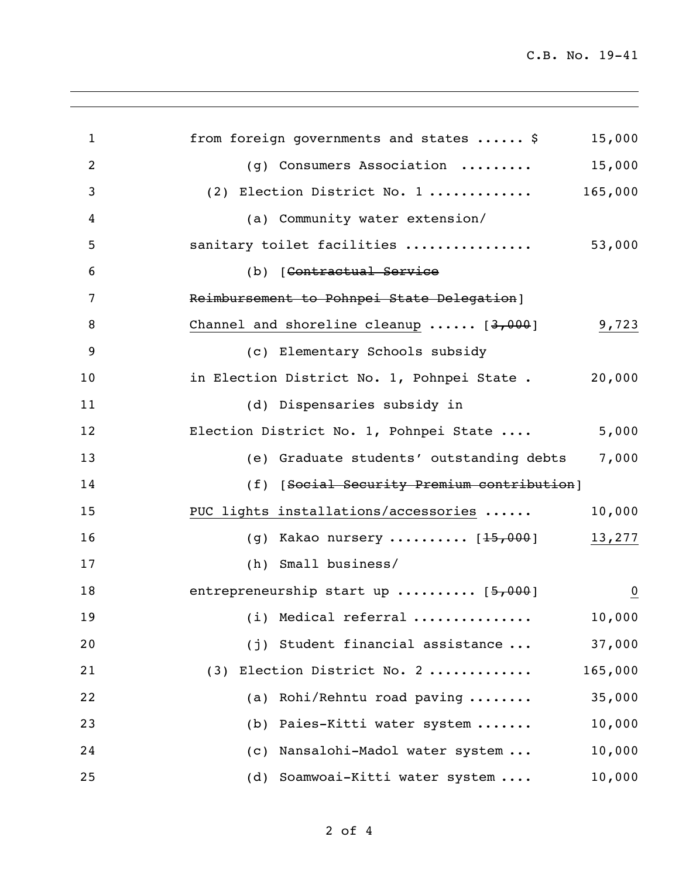C.B. No. 19-41

| $\mathbf 1$ | from foreign governments and states  \$        | 15,000         |
|-------------|------------------------------------------------|----------------|
| 2           | (g) Consumers Association                      | 15,000         |
| 3           | 165,000<br>(2) Election District No. 1         |                |
| 4           | (a) Community water extension/                 |                |
| 5           | sanitary toilet facilities                     | 53,000         |
| 6           | (b) [Contractual Service                       |                |
| 7           | Reimbursement to Pohnpei State Delegation]     |                |
| 8           | Channel and shoreline cleanup $\cdots$ [3,000] | 9,723          |
| 9           | (c) Elementary Schools subsidy                 |                |
| 10          | in Election District No. 1, Pohnpei State.     | 20,000         |
| 11          | (d) Dispensaries subsidy in                    |                |
| 12          | Election District No. 1, Pohnpei State         | 5,000          |
| 13          | (e) Graduate students' outstanding debts       | 7,000          |
| 14          | (f) [Social Security Premium contribution]     |                |
| 15          | PUC lights installations/accessories           | 10,000         |
| 16          | (g) Kakao nursery $[15,000]$                   | 13,277         |
| 17          | (h) Small business/                            |                |
| 18          | entrepreneurship start up $[5,000]$            | $\overline{0}$ |
| 19          | $(i)$ Medical referral                         | 10,000         |
| 20          | (j) Student financial assistance               | 37,000         |
| 21          | (3) Election District No. 2                    | 165,000        |
| 22          | (a) Rohi/Rehntu road paving                    | 35,000         |
| 23          | Paies-Kitti water system<br>(b)                | 10,000         |
| 24          | Nansalohi-Madol water system<br>(C)            | 10,000         |
| 25          | Soamwoai-Kitti water system<br>(d)             | 10,000         |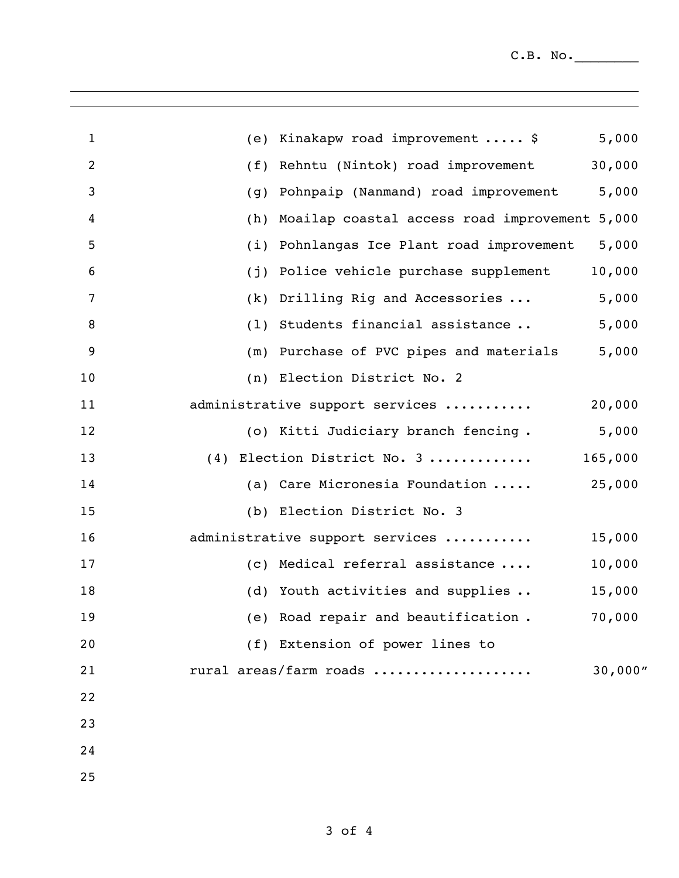$C.B. No.$ 

| $\mathbf{1}$   | (e) Kinakapw road improvement  \$              | 5,000   |
|----------------|------------------------------------------------|---------|
| $\overline{c}$ | Rehntu (Nintok) road improvement<br>(f)        | 30,000  |
| 3              | Pohnpaip (Nanmand) road improvement<br>(q)     | 5,000   |
| 4              | Moailap coastal access road improvement<br>(h) | 5,000   |
| 5              | Pohnlangas Ice Plant road improvement<br>(i)   | 5,000   |
| 6              | Police vehicle purchase supplement<br>(j)      | 10,000  |
| 7              | Drilling Rig and Accessories<br>(k)            | 5,000   |
| 8              | (1) Students financial assistance              | 5,000   |
| 9              | (m) Purchase of PVC pipes and materials        | 5,000   |
| 10             | (n) Election District No. 2                    |         |
| 11             | administrative support services                | 20,000  |
| 12             | (o) Kitti Judiciary branch fencing.            | 5,000   |
| 13             | (4) Election District No. 3                    | 165,000 |
| 14             | (a) Care Micronesia Foundation                 | 25,000  |
| 15             | (b) Election District No. 3                    |         |
| 16             | administrative support services                | 15,000  |
| 17             | (c) Medical referral assistance                | 10,000  |
| 18             | (d) Youth activities and supplies              | 15,000  |
| 19             | (e) Road repair and beautification.            | 70,000  |
| 20             | (f) Extension of power lines to                |         |
| 21             | rural areas/farm roads                         | 30,000" |
| 22             |                                                |         |
| 23             |                                                |         |
| 24             |                                                |         |
| 25             |                                                |         |